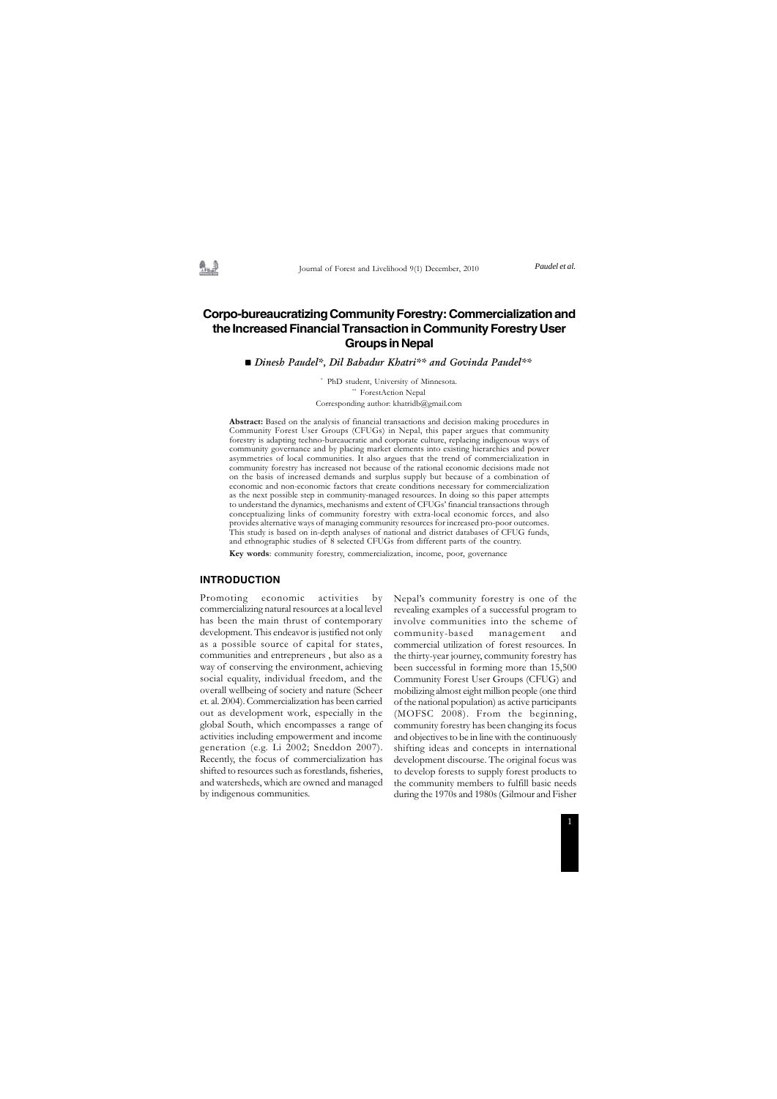# **Corpo-bureaucratizing Community Forestry: Commercialization and the Increased Financial Transaction in Community Forestry User Groups in Nepal**

 *Dinesh Paudel\*, Dil Bahadur Khatri\*\* and Govinda Paudel\*\**

### **INTRODUCTION**

Promoting economic activities by commercializing natural resources at a local level has been the main thrust of contemporary development. This endeavor is justified not only as a possible source of capital for states, communities and entrepreneurs , but also as a way of conserving the environment, achieving social equality, individual freedom, and the overall wellbeing of society and nature (Scheer et. al. 2004). Commercialization has been carried out as development work, especially in the global South, which encompasses a range of activities including empowerment and income generation (e.g. Li 2002; Sneddon 2007). Recently, the focus of commercialization has shifted to resources such as forestlands, fisheries, and watersheds, which are owned and managed by indigenous communities.

Abstract: Based on the analysis of financial transactions and decision making procedures in Community Forest User Groups (CFUGs) in Nepal, this paper argues that community forestry is adapting techno-bureaucratic and corporate culture, replacing indigenous ways of community governance and by placing market elements into existing hierarchies and power asymmetries of local communities. It also argues that the trend of commercialization in community forestry has increased not because of the rational economic decisions made not on the basis of increased demands and surplus supply but because of a combination of economic and non-economic factors that create conditions necessary for commercialization as the next possible step in community-managed resources. In doing so this paper attempts to understand the dynamics, mechanisms and extent of CFUGs' financial transactions through conceptualizing links of community forestry with extra-local economic forces, and also provides alternative ways of managing community resources for increased pro-poor outcomes. This study is based on in-depth analyses of national and district databases of CFUG funds, and ethnographic studies of 8 selected CFUGs from different parts of the country.

**Key words**: community forestry, commercialization, income, poor, governance

Nepal's community forestry is one of the revealing examples of a successful program to involve communities into the scheme of community-based management and commercial utilization of forest resources. In the thirty-year journey, community forestry has been successful in forming more than 15,500 Community Forest User Groups (CFUG) and mobilizing almost eight million people (one third of the national population) as active participants (MOFSC 2008). From the beginning, community forestry has been changing its focus and objectives to be in line with the continuously shifting ideas and concepts in international development discourse. The original focus was to develop forests to supply forest products to the community members to fulfill basic needs during the 1970s and 1980s (Gilmour and Fisher

\* PhD student, University of Minnesota. \*\* ForestAction Nepal Corresponding author: khatridb@gmail.com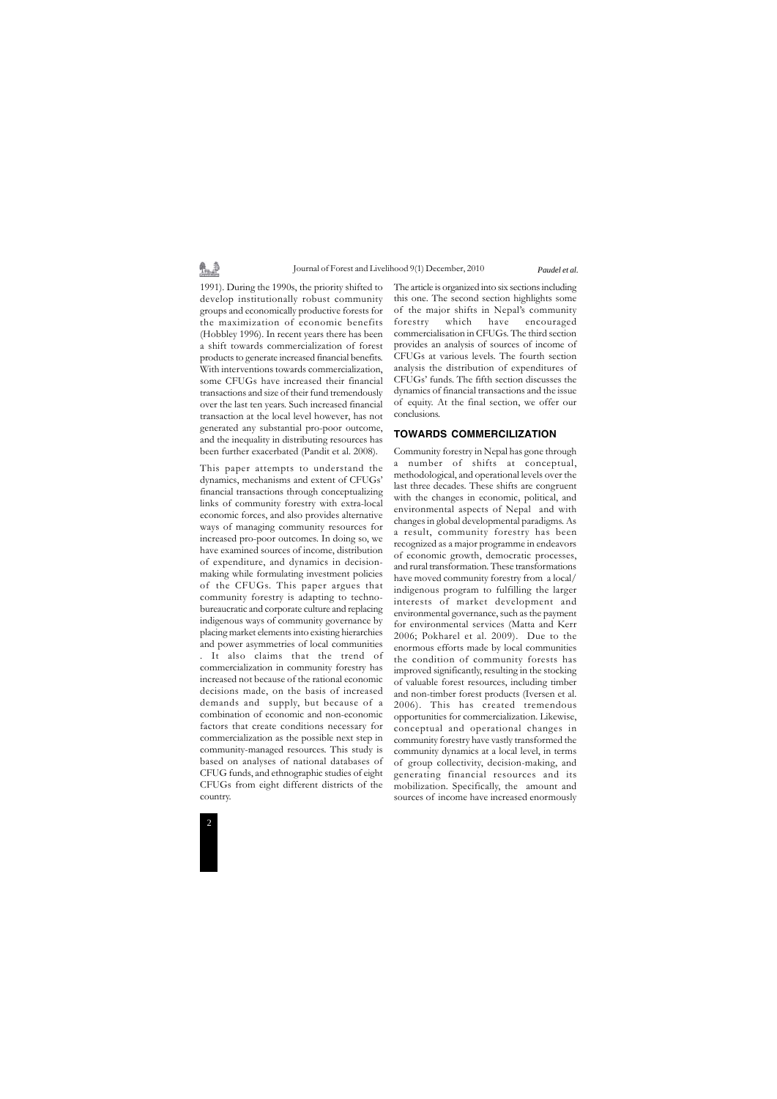

# 魯達

Journal of Forest and Livelihood 9(1) December, 2010

1991). During the 1990s, the priority shifted to develop institutionally robust community groups and economically productive forests for the maximization of economic benefits (Hobbley 1996). In recent years there has been a shift towards commercialization of forest products to generate increased financial benefits. With interventions towards commercialization, some CFUGs have increased their financial transactions and size of their fund tremendously over the last ten years. Such increased financial transaction at the local level however, has not generated any substantial pro-poor outcome, and the inequality in distributing resources has been further exacerbated (Pandit et al. 2008).

This paper attempts to understand the dynamics, mechanisms and extent of CFUGs' financial transactions through conceptualizing links of community forestry with extra-local economic forces, and also provides alternative ways of managing community resources for increased pro-poor outcomes. In doing so, we have examined sources of income, distribution of expenditure, and dynamics in decisionmaking while formulating investment policies of the CFUGs. This paper argues that community forestry is adapting to technobureaucratic and corporate culture and replacing indigenous ways of community governance by placing market elements into existing hierarchies and power asymmetries of local communities

. It also claims that the trend of commercialization in community forestry has increased not because of the rational economic decisions made, on the basis of increased demands and supply, but because of a combination of economic and non-economic factors that create conditions necessary for commercialization as the possible next step in community-managed resources. This study is based on analyses of national databases of CFUG funds, and ethnographic studies of eight CFUGs from eight different districts of the country.

The article is organized into six sections including this one. The second section highlights some of the major shifts in Nepal's community forestry which have encouraged commercialisation in CFUGs. The third section provides an analysis of sources of income of CFUGs at various levels. The fourth section analysis the distribution of expenditures of CFUGs' funds. The fifth section discusses the dynamics of financial transactions and the issue of equity. At the final section, we offer our conclusions.

### **TOWARDS COMMERCILIZATION**

Community forestry in Nepal has gone through a number of shifts at conceptual, methodological, and operational levels over the last three decades. These shifts are congruent with the changes in economic, political, and environmental aspects of Nepal and with changes in global developmental paradigms. As a result, community forestry has been recognized as a major programme in endeavors of economic growth, democratic processes, and rural transformation. These transformations have moved community forestry from a local/ indigenous program to fulfilling the larger interests of market development and environmental governance, such as the payment for environmental services (Matta and Kerr 2006; Pokharel et al. 2009). Due to the enormous efforts made by local communities the condition of community forests has improved significantly, resulting in the stocking of valuable forest resources, including timber and non-timber forest products (Iversen et al. 2006). This has created tremendous opportunities for commercialization. Likewise, conceptual and operational changes in community forestry have vastly transformed the community dynamics at a local level, in terms of group collectivity, decision-making, and generating financial resources and its mobilization. Specifically, the amount and sources of income have increased enormously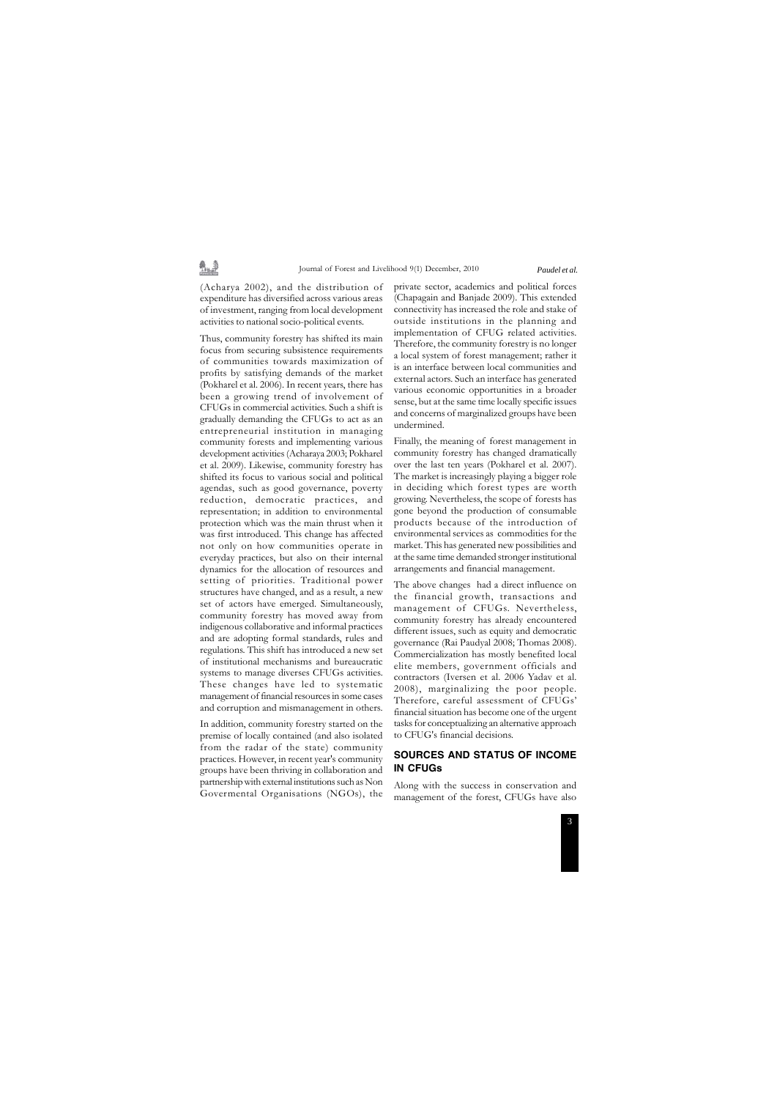(Acharya 2002), and the distribution of expenditure has diversified across various areas of investment, ranging from local development activities to national socio-political events.

Thus, community forestry has shifted its main focus from securing subsistence requirements of communities towards maximization of profits by satisfying demands of the market (Pokharel et al. 2006). In recent years, there has been a growing trend of involvement of CFUGs in commercial activities. Such a shift is gradually demanding the CFUGs to act as an entrepreneurial institution in managing community forests and implementing various development activities (Acharaya 2003; Pokharel et al. 2009). Likewise, community forestry has shifted its focus to various social and political agendas, such as good governance, poverty reduction, democratic practices, and representation; in addition to environmental protection which was the main thrust when it was first introduced. This change has affected not only on how communities operate in everyday practices, but also on their internal dynamics for the allocation of resources and setting of priorities. Traditional power structures have changed, and as a result, a new set of actors have emerged. Simultaneously, community forestry has moved away from indigenous collaborative and informal practices and are adopting formal standards, rules and regulations. This shift has introduced a new set of institutional mechanisms and bureaucratic systems to manage diverses CFUGs activities. These changes have led to systematic management of financial resources in some cases and corruption and mismanagement in others.

In addition, community forestry started on the premise of locally contained (and also isolated from the radar of the state) community practices. However, in recent year's community groups have been thriving in collaboration and partnership with external institutions such as Non Govermental Organisations (NGOs), the private sector, academics and political forces (Chapagain and Banjade 2009). This extended connectivity has increased the role and stake of outside institutions in the planning and implementation of CFUG related activities. Therefore, the community forestry is no longer a local system of forest management; rather it is an interface between local communities and external actors. Such an interface has generated various economic opportunities in a broader sense, but at the same time locally specific issues and concerns of marginalized groups have been undermined.

Finally, the meaning of forest management in community forestry has changed dramatically over the last ten years (Pokharel et al. 2007). The market is increasingly playing a bigger role in deciding which forest types are worth growing. Nevertheless, the scope of forests has gone beyond the production of consumable products because of the introduction of environmental services as commodities for the market. This has generated new possibilities and at the same time demanded stronger institutional arrangements and financial management.

The above changes had a direct influence on the financial growth, transactions and management of CFUGs. Nevertheless, community forestry has already encountered different issues, such as equity and democratic governance (Rai Paudyal 2008; Thomas 2008). Commercialization has mostly benefited local elite members, government officials and contractors (Iversen et al. 2006 Yadav et al. 2008), marginalizing the poor people. Therefore, careful assessment of CFUGs' financial situation has become one of the urgent tasks for conceptualizing an alternative approach to CFUG's financial decisions.

# **SOURCES AND STATUS OF INCOME IN CFUGs**

Along with the success in conservation and management of the forest, CFUGs have also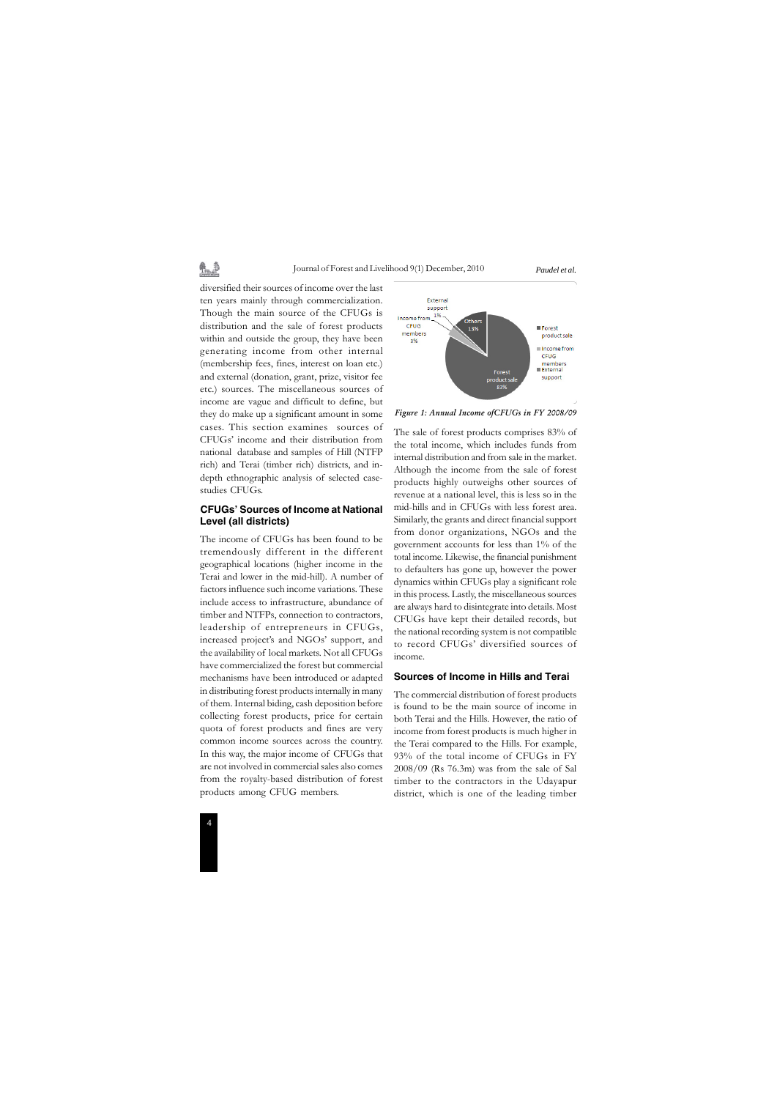

diversified their sources of income over the last ten years mainly through commercialization. Though the main source of the CFUGs is distribution and the sale of forest products within and outside the group, they have been generating income from other internal (membership fees, fines, interest on loan etc.) and external (donation, grant, prize, visitor fee etc.) sources. The miscellaneous sources of income are vague and difficult to define, but they do make up a significant amount in some cases. This section examines sources of CFUGs' income and their distribution from national database and samples of Hill (NTFP rich) and Terai (timber rich) districts, and indepth ethnographic analysis of selected casestudies CFUGs.

鲁桑

### **CFUGs' Sources of Income at National Level (all districts)**

The income of CFUGs has been found to be tremendously different in the different geographical locations (higher income in the Terai and lower in the mid-hill). A number of factors influence such income variations. These include access to infrastructure, abundance of timber and NTFPs, connection to contractors, leadership of entrepreneurs in CFUGs, increased project's and NGOs' support, and the availability of local markets. Not all CFUGs have commercialized the forest but commercial mechanisms have been introduced or adapted in distributing forest products internally in many of them. Internal biding, cash deposition before collecting forest products, price for certain quota of forest products and fines are very common income sources across the country. In this way, the major income of CFUGs that are not involved in commercial sales also comes from the royalty-based distribution of forest products among CFUG members.



The sale of forest products comprises 83% of the total income, which includes funds from internal distribution and from sale in the market. Although the income from the sale of forest products highly outweighs other sources of revenue at a national level, this is less so in the mid-hills and in CFUGs with less forest area. Similarly, the grants and direct financial support from donor organizations, NGOs and the government accounts for less than 1% of the total income. Likewise, the financial punishment to defaulters has gone up, however the power dynamics within CFUGs play a significant role in this process. Lastly, the miscellaneous sources are always hard to disintegrate into details. Most CFUGs have kept their detailed records, but the national recording system is not compatible to record CFUGs' diversified sources of income.

# **Sources of Income in Hills and Terai**

The commercial distribution of forest products is found to be the main source of income in both Terai and the Hills. However, the ratio of income from forest products is much higher in the Terai compared to the Hills. For example, 93% of the total income of CFUGs in FY 2008/09 (Rs 76.3m) was from the sale of Sal timber to the contractors in the Udayapur district, which is one of the leading timber

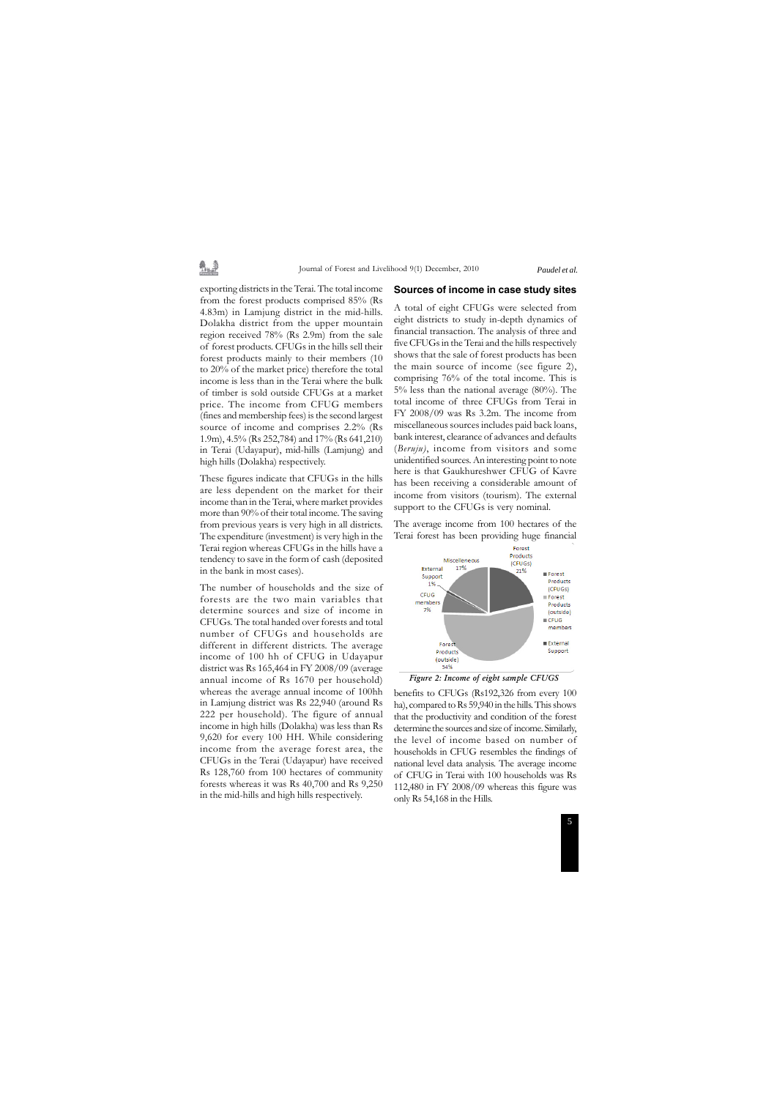exporting districts in the Terai. The total income from the forest products comprised 85% (Rs 4.83m) in Lamjung district in the mid-hills. Dolakha district from the upper mountain region received 78% (Rs 2.9m) from the sale of forest products. CFUGs in the hills sell their forest products mainly to their members (10 to 20% of the market price) therefore the total income is less than in the Terai where the bulk of timber is sold outside CFUGs at a market price. The income from CFUG members (fines and membership fees) is the second largest source of income and comprises 2.2% (Rs 1.9m), 4.5% (Rs 252,784) and 17% (Rs 641,210) in Terai (Udayapur), mid-hills (Lamjung) and high hills (Dolakha) respectively.

These figures indicate that CFUGs in the hills are less dependent on the market for their income than in the Terai, where market provides more than 90% of their total income. The saving from previous years is very high in all districts. The expenditure (investment) is very high in the Terai region whereas CFUGs in the hills have a tendency to save in the form of cash (deposited in the bank in most cases).

A total of eight CFUGs were selected from eight districts to study in-depth dynamics of financial transaction. The analysis of three and five CFUGs in the Terai and the hills respectively shows that the sale of forest products has been the main source of income (see figure 2), comprising 76% of the total income. This is 5% less than the national average (80%). The total income of three CFUGs from Terai in FY 2008/09 was Rs 3.2m. The income from miscellaneous sources includes paid back loans, bank interest, clearance of advances and defaults (*Beruju)*, income from visitors and some unidentified sources. An interesting point to note here is that Gaukhureshwer CFUG of Kavre has been receiving a considerable amount of income from visitors (tourism). The external support to the CFUGs is very nominal.

The number of households and the size of forests are the two main variables that determine sources and size of income in CFUGs. The total handed over forests and total number of CFUGs and households are different in different districts. The average income of 100 hh of CFUG in Udayapur district was Rs 165,464 in FY 2008/09 (average annual income of Rs 1670 per household) whereas the average annual income of 100hh in Lamjung district was Rs 22,940 (around Rs 222 per household). The figure of annual income in high hills (Dolakha) was less than Rs 9,620 for every 100 HH. While considering income from the average forest area, the CFUGs in the Terai (Udayapur) have received Rs 128,760 from 100 hectares of community forests whereas it was Rs 40,700 and Rs 9,250 in the mid-hills and high hills respectively.

**Sources of income in case study sites**

The average income from 100 hectares of the Terai forest has been providing huge financial



*Paudel et al.*



benefits to CFUGs (Rs192,326 from every 100 ha), compared to Rs 59,940 in the hills. This shows that the productivity and condition of the forest determine the sources and size of income. Similarly, the level of income based on number of households in CFUG resembles the findings of national level data analysis. The average income of CFUG in Terai with 100 households was Rs 112,480 in FY 2008/09 whereas this figure was only Rs 54,168 in the Hills.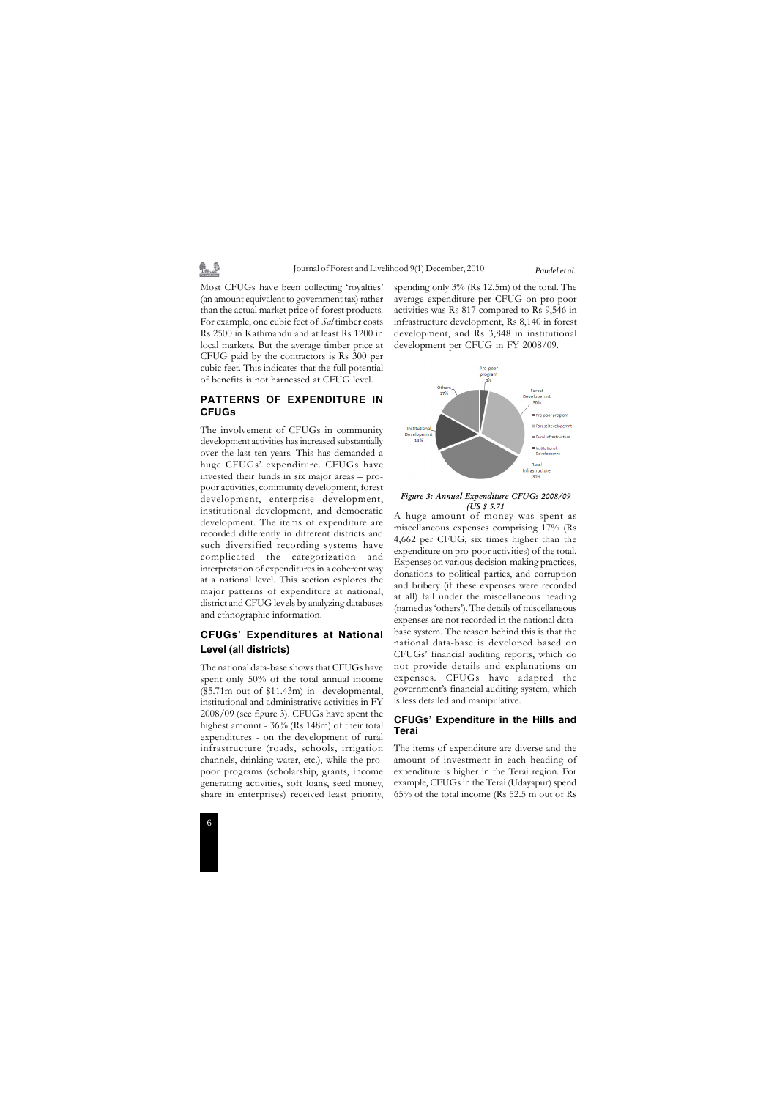

Most CFUGs have been collecting 'royalties' (an amount equivalent to government tax) rather than the actual market price of forest products. For example, one cubic feet of *Sal* timber costs Rs 2500 in Kathmandu and at least Rs 1200 in local markets. But the average timber price at CFUG paid by the contractors is Rs 300 per cubic feet. This indicates that the full potential of benefits is not harnessed at CFUG level.

魯達

# **PATTERNS OF EXPENDITURE IN CFUGs**

The involvement of CFUGs in community development activities has increased substantially over the last ten years. This has demanded a huge CFUGs' expenditure. CFUGs have invested their funds in six major areas – propoor activities, community development, forest development, enterprise development, institutional development, and democratic development. The items of expenditure are recorded differently in different districts and such diversified recording systems have complicated the categorization and interpretation of expenditures in a coherent way at a national level. This section explores the major patterns of expenditure at national, district and CFUG levels by analyzing databases and ethnographic information.

# **CFUGs' Expenditures at National Level (all districts)**

The national data-base shows that CFUGs have spent only 50% of the total annual income (\$5.71m out of \$11.43m) in developmental, institutional and administrative activities in FY 2008/09 (see figure 3). CFUGs have spent the highest amount - 36% (Rs 148m) of their total expenditures - on the development of rural infrastructure (roads, schools, irrigation channels, drinking water, etc.), while the propoor programs (scholarship, grants, income generating activities, soft loans, seed money, share in enterprises) received least priority, spending only 3% (Rs 12.5m) of the total. The average expenditure per CFUG on pro-poor activities was Rs 817 compared to Rs 9,546 in infrastructure development, Rs 8,140 in forest development, and Rs 3,848 in institutional development per CFUG in FY 2008/09.



*Paudel et al.*

#### *Figure 3: Annual Expenditure CFUGs 2008/09 (US \$ 5.71*

A huge amount of money was spent as miscellaneous expenses comprising 17% (Rs 4,662 per CFUG, six times higher than the expenditure on pro-poor activities) of the total. Expenses on various decision-making practices, donations to political parties, and corruption and bribery (if these expenses were recorded at all) fall under the miscellaneous heading (named as 'others'). The details of miscellaneous expenses are not recorded in the national database system. The reason behind this is that the national data-base is developed based on CFUGs' financial auditing reports, which do not provide details and explanations on expenses. CFUGs have adapted the government's financial auditing system, which is less detailed and manipulative.

#### **CFUGs' Expenditure in the Hills and Terai**

The items of expenditure are diverse and the amount of investment in each heading of expenditure is higher in the Terai region. For example, CFUGs in the Terai (Udayapur) spend 65% of the total income (Rs 52.5 m out of Rs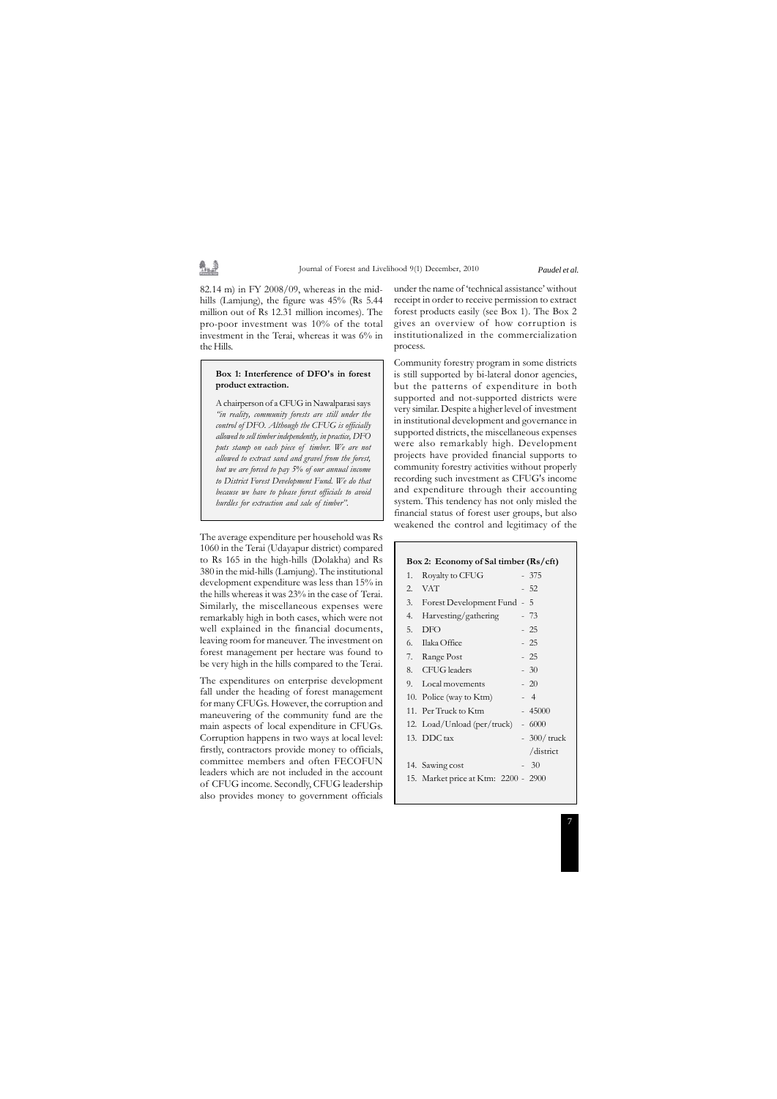82.14 m) in FY 2008/09, whereas in the midhills (Lamjung), the figure was 45% (Rs 5.44 million out of Rs 12.31 million incomes). The pro-poor investment was 10% of the total investment in the Terai, whereas it was 6% in the Hills.

The average expenditure per household was Rs 1060 in the Terai (Udayapur district) compared to Rs 165 in the high-hills (Dolakha) and Rs 380 in the mid-hills (Lamjung). The institutional development expenditure was less than 15% in the hills whereas it was 23% in the case of Terai. Similarly, the miscellaneous expenses were remarkably high in both cases, which were not well explained in the financial documents, leaving room for maneuver. The investment on forest management per hectare was found to be very high in the hills compared to the Terai.

The expenditures on enterprise development fall under the heading of forest management for many CFUGs. However, the corruption and maneuvering of the community fund are the main aspects of local expenditure in CFUGs. Corruption happens in two ways at local level: firstly, contractors provide money to officials, committee members and often FECOFUN leaders which are not included in the account of CFUG income. Secondly, CFUG leadership also provides money to government officials

under the name of 'technical assistance' without receipt in order to receive permission to extract forest products easily (see Box 1). The Box 2 gives an overview of how corruption is institutionalized in the commercialization process.

Community forestry program in some districts is still supported by bi-lateral donor agencies, but the patterns of expenditure in both supported and not-supported districts were very similar. Despite a higher level of investment in institutional development and governance in supported districts, the miscellaneous expenses were also remarkably high. Development projects have provided financial supports to community forestry activities without properly recording such investment as CFUG's income and expenditure through their accounting system. This tendency has not only misled the financial status of forest user groups, but also weakened the control and legitimacy of the

*Paudel et al.*

#### **Box 1: Interference of DFO's in forest product extraction.**

A chairperson of a CFUG in Nawalparasi says *"in reality, community forests are still under the control of DFO. Although the CFUG is officially allowed to sell timber independently, in practice, DFO puts stamp on each piece of timber. We are not allowed to extract sand and gravel from the forest, but we are forced to pay 5% of our annual income to District Forest Development Fund. We do that because we have to please forest officials to avoid hurdles for extraction and sale of timber".*

| Box 2: Economy of Sal timber (Rs/cft) |                                      |  |                     |
|---------------------------------------|--------------------------------------|--|---------------------|
| 1.                                    | Royalty to CFUG                      |  | - 375               |
| 2.                                    | <b>VAT</b>                           |  | $-52$               |
|                                       | 3. Forest Development Fund - 5       |  |                     |
|                                       | 4. Harvesting/gathering              |  | $-73$               |
|                                       | 5. DFO                               |  | $-25$               |
|                                       | 6. Ilaka Office                      |  | $-25$               |
|                                       | 7. Range Post                        |  | $-25$               |
|                                       | 8. CFUG leaders                      |  | $-30$               |
| 9.                                    | Local movements                      |  | $-20$               |
|                                       | 10. Police (way to Ktm)              |  | $-4$                |
|                                       | 11. Per Truck to Ktm                 |  | $-45000$            |
|                                       | 12. Load/Unload (per/truck)          |  | 6000                |
|                                       | 13. DDC tax                          |  | $-300/\text{truck}$ |
|                                       |                                      |  | /district           |
|                                       | 14. Sawing cost                      |  | - 30                |
|                                       | 15. Market price at Ktm: 2200 - 2900 |  |                     |
|                                       |                                      |  |                     |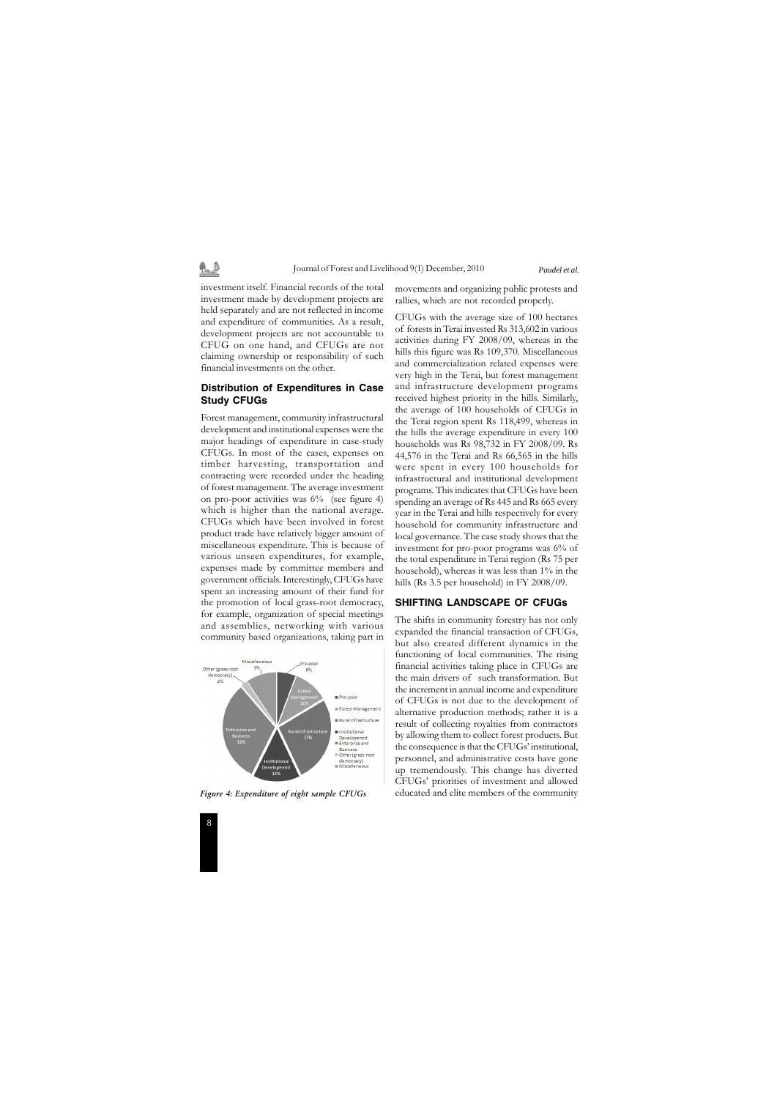

investment itself. Financial records of the total investment made by development projects are held separately and are not reflected in income and expenditure of communities. As a result, development projects are not accountable to CFUG on one hand, and CFUGs are not claiming ownership or responsibility of such financial investments on the other.

魯達

# **Distribution of Expenditures in Case Study CFUGs**

Forest management, community infrastructural development and institutional expenses were the major headings of expenditure in case-study CFUGs. In most of the cases, expenses on timber harvesting, transportation and contracting were recorded under the heading of forest management. The average investment on pro-poor activities was 6% (see figure 4) which is higher than the national average. CFUGs which have been involved in forest product trade have relatively bigger amount of miscellaneous expenditure. This is because of various unseen expenditures, for example, expenses made by committee members and government officials. Interestingly, CFUGs have spent an increasing amount of their fund for the promotion of local grass-root democracy, for example, organization of special meetings and assemblies, networking with various community based organizations, taking part in

movements and organizing public protests and rallies, which are not recorded properly.

CFUGs with the average size of 100 hectares of forests in Terai invested Rs 313,602 in various activities during FY 2008/09, whereas in the hills this figure was Rs 109,370. Miscellaneous and commercialization related expenses were very high in the Terai, but forest management and infrastructure development programs received highest priority in the hills. Similarly, the average of 100 households of CFUGs in the Terai region spent Rs 118,499, whereas in the hills the average expenditure in every 100 households was Rs 98,732 in FY 2008/09. Rs 44,576 in the Terai and Rs 66,565 in the hills were spent in every 100 households for infrastructural and institutional development programs. This indicates that CFUGs have been spending an average of Rs 445 and Rs 665 every year in the Terai and hills respectively for every household for community infrastructure and local governance. The case study shows that the investment for pro-poor programs was 6% of the total expenditure in Terai region (Rs 75 per household), whereas it was less than 1% in the hills (Rs 3.5 per household) in FY 2008/09.

#### **SHIFTING LANDSCAPE OF CFUGs**

The shifts in community forestry has not only expanded the financial transaction of CFUGs, but also created different dynamics in the functioning of local communities. The rising financial activities taking place in CFUGs are the main drivers of such transformation. But the increment in annual income and expenditure of CFUGs is not due to the development of alternative production methods; rather it is a result of collecting royalties from contractors by allowing them to collect forest products. But the consequence is that the CFUGs' institutional, personnel, and administrative costs have gone up tremendously. This change has diverted CFUGs' priorities of investment and allowed educated and elite members of the community



*Figure 4: Expenditure of eight sample CFUGs*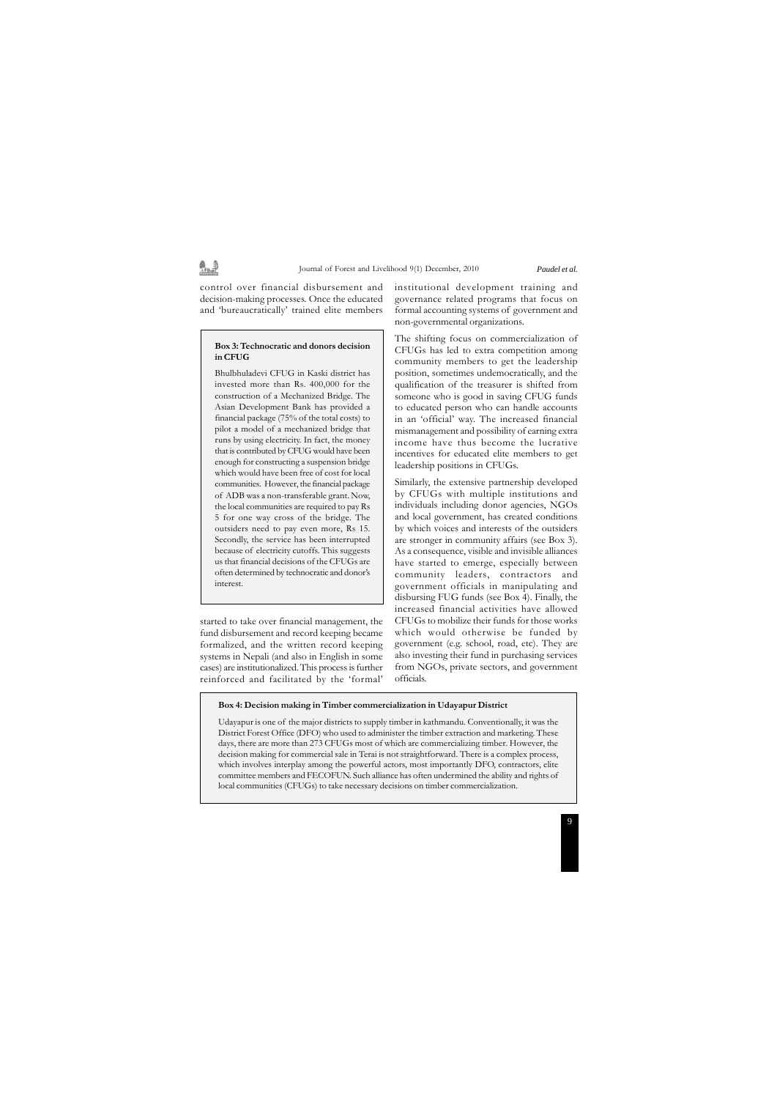control over financial disbursement and decision-making processes. Once the educated and 'bureaucratically' trained elite members

started to take over financial management, the fund disbursement and record keeping became formalized, and the written record keeping systems in Nepali (and also in English in some cases) are institutionalized. This process is further reinforced and facilitated by the 'formal'

institutional development training and governance related programs that focus on formal accounting systems of government and non-governmental organizations.

The shifting focus on commercialization of CFUGs has led to extra competition among community members to get the leadership position, sometimes undemocratically, and the qualification of the treasurer is shifted from someone who is good in saving CFUG funds to educated person who can handle accounts in an 'official' way. The increased financial mismanagement and possibility of earning extra income have thus become the lucrative incentives for educated elite members to get leadership positions in CFUGs.

Similarly, the extensive partnership developed by CFUGs with multiple institutions and individuals including donor agencies, NGOs and local government, has created conditions by which voices and interests of the outsiders are stronger in community affairs (see Box 3). As a consequence, visible and invisible alliances have started to emerge, especially between community leaders, contractors and government officials in manipulating and disbursing FUG funds (see Box 4). Finally, the increased financial activities have allowed CFUGs to mobilize their funds for those works which would otherwise be funded by government (e.g. school, road, etc). They are also investing their fund in purchasing services from NGOs, private sectors, and government officials.

*Paudel et al.*

#### **Box 3: Technocratic and donors decision in CFUG**

Bhulbhuladevi CFUG in Kaski district has invested more than Rs. 400,000 for the construction of a Mechanized Bridge. The Asian Development Bank has provided a financial package (75% of the total costs) to pilot a model of a mechanized bridge that runs by using electricity. In fact, the money that is contributed by CFUG would have been enough for constructing a suspension bridge which would have been free of cost for local communities. However, the financial package of ADB was a non-transferable grant. Now, the local communities are required to pay Rs 5 for one way cross of the bridge. The outsiders need to pay even more, Rs 15. Secondly, the service has been interrupted because of electricity cutoffs. This suggests us that financial decisions of the CFUGs are often determined by technocratic and donor's interest.

#### **Box 4: Decision making in Timber commercialization in Udayapur District**

Udayapur is one of the major districts to supply timber in kathmandu. Conventionally, it was the District Forest Office (DFO) who used to administer the timber extraction and marketing. These days, there are more than 273 CFUGs most of which are commercializing timber. However, the decision making for commercial sale in Terai is not straightforward. There is a complex process, which involves interplay among the powerful actors, most importantly DFO, contractors, elite committee members and FECOFUN. Such alliance has often undermined the ability and rights of local communities (CFUGs) to take necessary decisions on timber commercialization.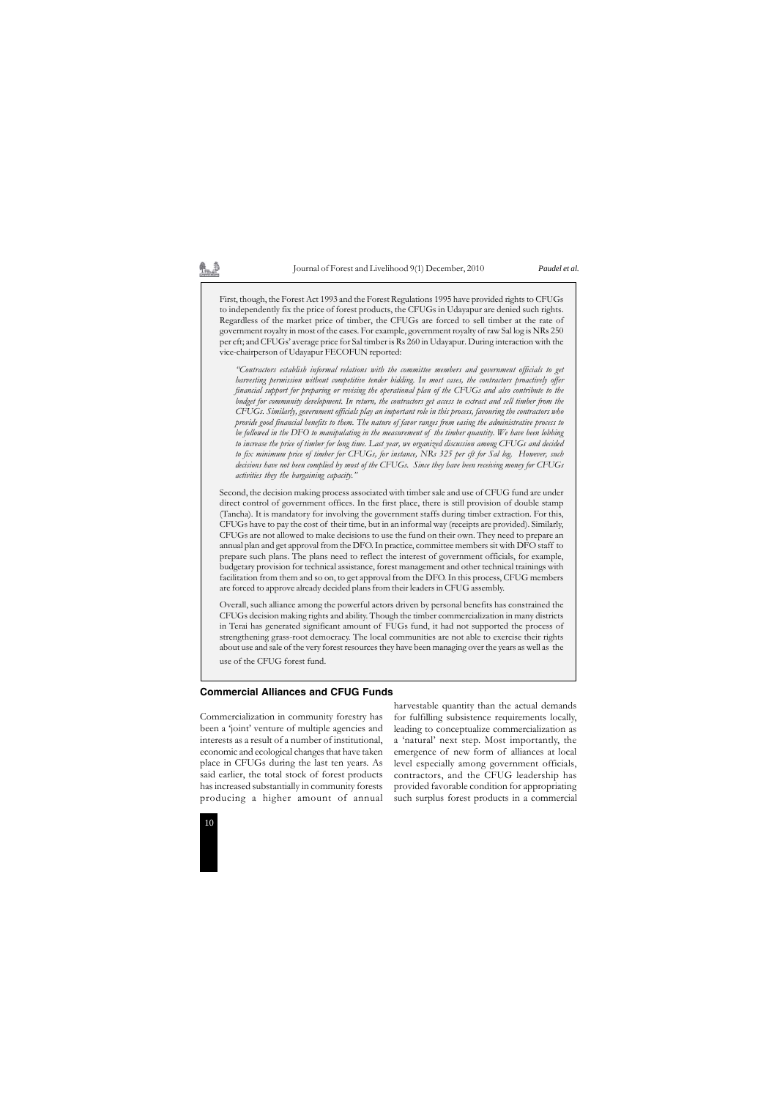魯達



## Journal of Forest and Livelihood 9(1) December, 2010

First, though, the Forest Act 1993 and the Forest Regulations 1995 have provided rights to CFUGs to independently fix the price of forest products, the CFUGs in Udayapur are denied such rights. Regardless of the market price of timber, the CFUGs are forced to sell timber at the rate of government royalty in most of the cases. For example, government royalty of raw Sal log is NRs 250 per cft; and CFUGs' average price for Sal timber is Rs 260 in Udayapur. During interaction with the vice-chairperson of Udayapur FECOFUN reported:

*"Contractors establish informal relations with the committee members and government officials to get harvesting permission without competitive tender bidding. In most cases, the contractors proactively offer financial support for preparing or revising the operational plan of the CFUGs and also contribute to the budget for community development. In return, the contractors get access to extract and sell timber from the CFUGs. Similarly, government officials play an important role in this process, favouring the contractors who provide good financial benefits to them. The nature of favor ranges from easing the administrative process to be followed in the DFO to manipulating in the measurement of the timber quantity. We have been lobbing to increase the price of timber for long time. Last year, we organized discussion among CFUGs and decided to fix minimum price of timber for CFUGs, for instance, NRs 325 per cft for Sal log. However, such decisions have not been complied by most of the CFUGs. Since they have been receiving money for CFUGs activities they the bargaining capacity."*

Second, the decision making process associated with timber sale and use of CFUG fund are under direct control of government offices. In the first place, there is still provision of double stamp (Tancha). It is mandatory for involving the government staffs during timber extraction. For this, CFUGs have to pay the cost of their time, but in an informal way (receipts are provided). Similarly, CFUGs are not allowed to make decisions to use the fund on their own. They need to prepare an annual plan and get approval from the DFO. In practice, committee members sit with DFO staff to prepare such plans. The plans need to reflect the interest of government officials, for example, budgetary provision for technical assistance, forest management and other technical trainings with facilitation from them and so on, to get approval from the DFO. In this process, CFUG members are forced to approve already decided plans from their leaders in CFUG assembly.

Overall, such alliance among the powerful actors driven by personal benefits has constrained the CFUGs decision making rights and ability. Though the timber commercialization in many districts in Terai has generated significant amount of FUGs fund, it had not supported the process of strengthening grass-root democracy. The local communities are not able to exercise their rights about use and sale of the very forest resources they have been managing over the years as well as the use of the CFUG forest fund.

*Paudel et al.*

## **Commercial Alliances and CFUG Funds**

harvestable quantity than the actual demands for fulfilling subsistence requirements locally, leading to conceptualize commercialization as a 'natural' next step. Most importantly, the emergence of new form of alliances at local level especially among government officials, contractors, and the CFUG leadership has provided favorable condition for appropriating such surplus forest products in a commercial

Commercialization in community forestry has been a 'joint' venture of multiple agencies and interests as a result of a number of institutional, economic and ecological changes that have taken place in CFUGs during the last ten years. As said earlier, the total stock of forest products has increased substantially in community forests producing a higher amount of annual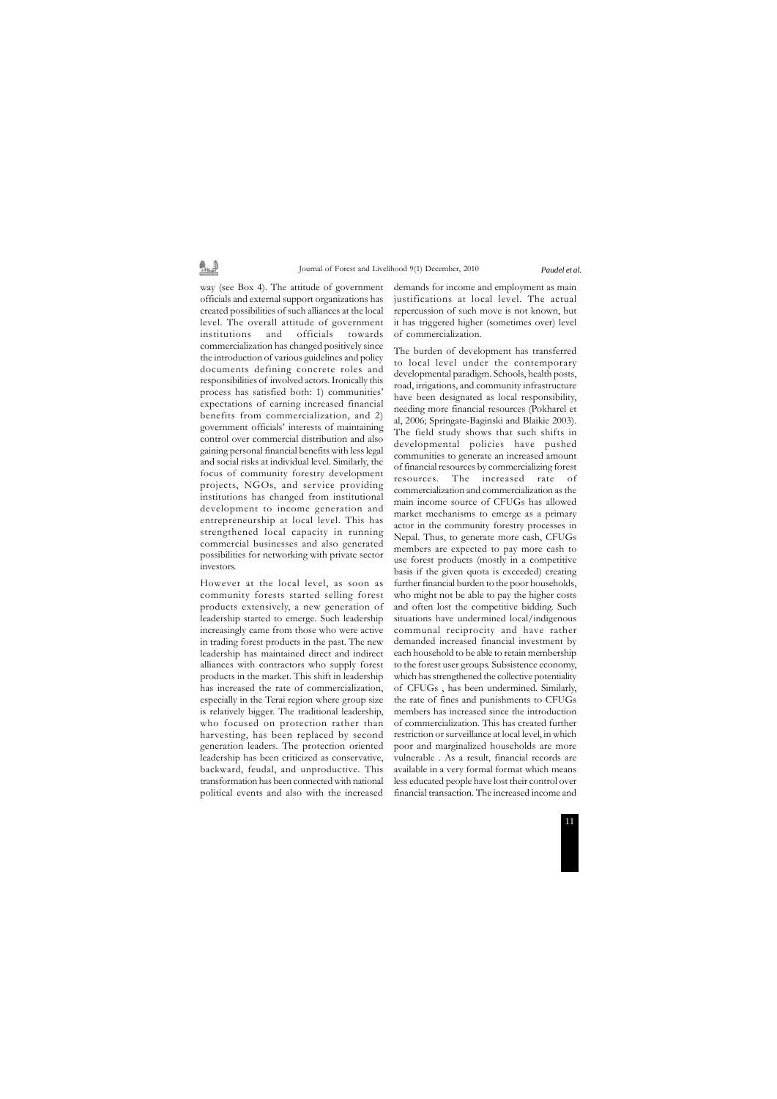11

Journal of Forest and Livelihood 9(1) December, 2010

way (see Box 4). The attitude of government officials and external support organizations has created possibilities of such alliances at the local level. The overall attitude of government institutions and officials towards commercialization has changed positively since the introduction of various guidelines and policy documents defining concrete roles and responsibilities of involved actors. Ironically this process has satisfied both: 1) communities' expectations of earning increased financial benefits from commercialization, and 2) government officials' interests of maintaining control over commercial distribution and also gaining personal financial benefits with less legal and social risks at individual level. Similarly, the focus of community forestry development projects, NGOs, and service providing institutions has changed from institutional development to income generation and entrepreneurship at local level. This has strengthened local capacity in running commercial businesses and also generated possibilities for networking with private sector investors.

However at the local level, as soon as community forests started selling forest products extensively, a new generation of leadership started to emerge. Such leadership increasingly came from those who were active in trading forest products in the past. The new leadership has maintained direct and indirect alliances with contractors who supply forest products in the market. This shift in leadership has increased the rate of commercialization, especially in the Terai region where group size is relatively bigger. The traditional leadership, who focused on protection rather than harvesting, has been replaced by second generation leaders. The protection oriented leadership has been criticized as conservative, backward, feudal, and unproductive. This transformation has been connected with national political events and also with the increased

*Paudel et al.*

demands for income and employment as main justifications at local level. The actual repercussion of such move is not known, but it has triggered higher (sometimes over) level of commercialization.

The burden of development has transferred to local level under the contemporary developmental paradigm. Schools, health posts, road, irrigations, and community infrastructure have been designated as local responsibility, needing more financial resources (Pokharel et al, 2006; Springate-Baginski and Blaikie 2003). The field study shows that such shifts in developmental policies have pushed communities to generate an increased amount of financial resources by commercializing forest resources. The increased rate of commercialization and commercialization as the main income source of CFUGs has allowed market mechanisms to emerge as a primary actor in the community forestry processes in Nepal. Thus, to generate more cash, CFUGs members are expected to pay more cash to use forest products (mostly in a competitive basis if the given quota is exceeded) creating further financial burden to the poor households, who might not be able to pay the higher costs and often lost the competitive bidding. Such situations have undermined local/indigenous communal reciprocity and have rather demanded increased financial investment by each household to be able to retain membership to the forest user groups. Subsistence economy, which has strengthened the collective potentiality of CFUGs , has been undermined. Similarly, the rate of fines and punishments to CFUGs members has increased since the introduction of commercialization. This has created further restriction or surveillance at local level, in which poor and marginalized households are more vulnerable . As a result, financial records are available in a very formal format which means less educated people have lost their control over financial transaction. The increased income and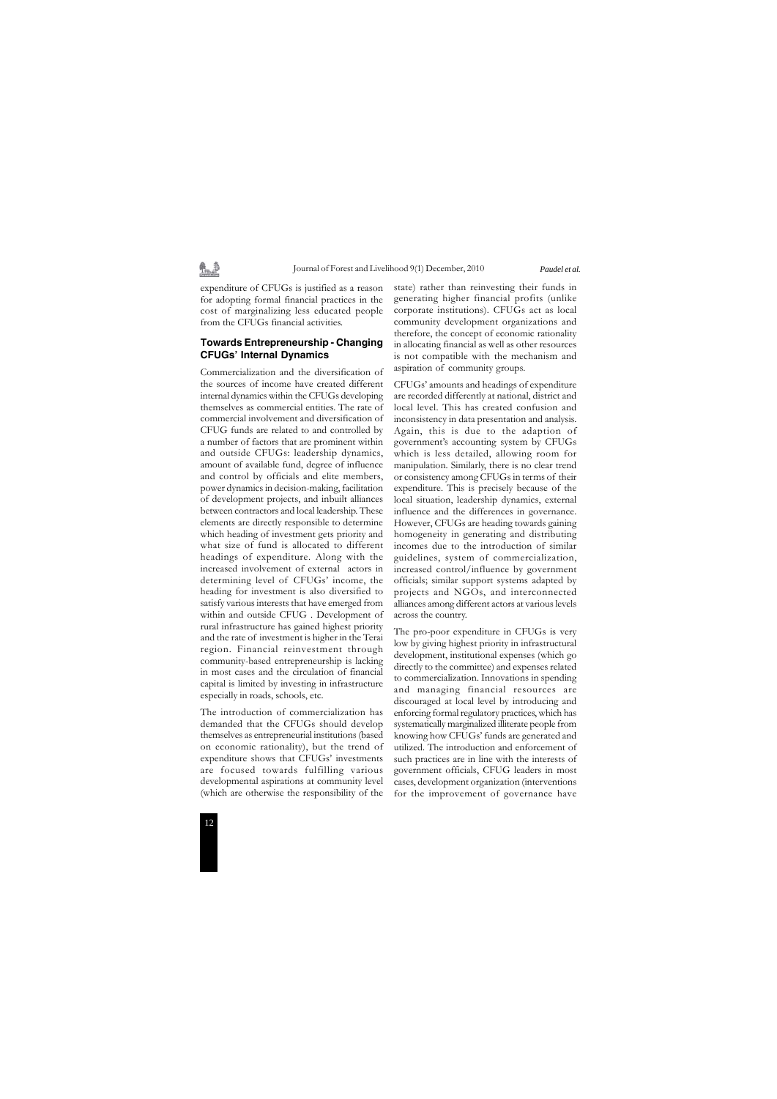

state) rather than reinvesting their funds in generating higher financial profits (unlike corporate institutions). CFUGs act as local community development organizations and therefore, the concept of economic rationality in allocating financial as well as other resources is not compatible with the mechanism and aspiration of community groups.

CFUGs' amounts and headings of expenditure are recorded differently at national, district and local level. This has created confusion and inconsistency in data presentation and analysis. Again, this is due to the adaption of government's accounting system by CFUGs which is less detailed, allowing room for manipulation. Similarly, there is no clear trend or consistency among CFUGs in terms of their expenditure. This is precisely because of the local situation, leadership dynamics, external influence and the differences in governance. However, CFUGs are heading towards gaining homogeneity in generating and distributing incomes due to the introduction of similar guidelines, system of commercialization, increased control/influence by government officials; similar support systems adapted by projects and NGOs, and interconnected alliances among different actors at various levels across the country.

The pro-poor expenditure in CFUGs is very low by giving highest priority in infrastructural development, institutional expenses (which go directly to the committee) and expenses related to commercialization. Innovations in spending and managing financial resources are discouraged at local level by introducing and enforcing formal regulatory practices, which has systematically marginalized illiterate people from knowing how CFUGs' funds are generated and utilized. The introduction and enforcement of such practices are in line with the interests of government officials, CFUG leaders in most cases, development organization (interventions for the improvement of governance have

*Paudel et al.*

expenditure of CFUGs is justified as a reason for adopting formal financial practices in the cost of marginalizing less educated people from the CFUGs financial activities.

魯達

#### **Towards Entrepreneurship - Changing CFUGs' Internal Dynamics**

Commercialization and the diversification of the sources of income have created different internal dynamics within the CFUGs developing themselves as commercial entities. The rate of commercial involvement and diversification of CFUG funds are related to and controlled by a number of factors that are prominent within and outside CFUGs: leadership dynamics, amount of available fund, degree of influence and control by officials and elite members, power dynamics in decision-making, facilitation of development projects, and inbuilt alliances between contractors and local leadership. These elements are directly responsible to determine which heading of investment gets priority and what size of fund is allocated to different headings of expenditure. Along with the increased involvement of external actors in determining level of CFUGs' income, the heading for investment is also diversified to satisfy various interests that have emerged from within and outside CFUG . Development of rural infrastructure has gained highest priority and the rate of investment is higher in the Terai region. Financial reinvestment through community-based entrepreneurship is lacking in most cases and the circulation of financial capital is limited by investing in infrastructure especially in roads, schools, etc.

The introduction of commercialization has demanded that the CFUGs should develop themselves as entrepreneurial institutions (based on economic rationality), but the trend of expenditure shows that CFUGs' investments are focused towards fulfilling various developmental aspirations at community level (which are otherwise the responsibility of the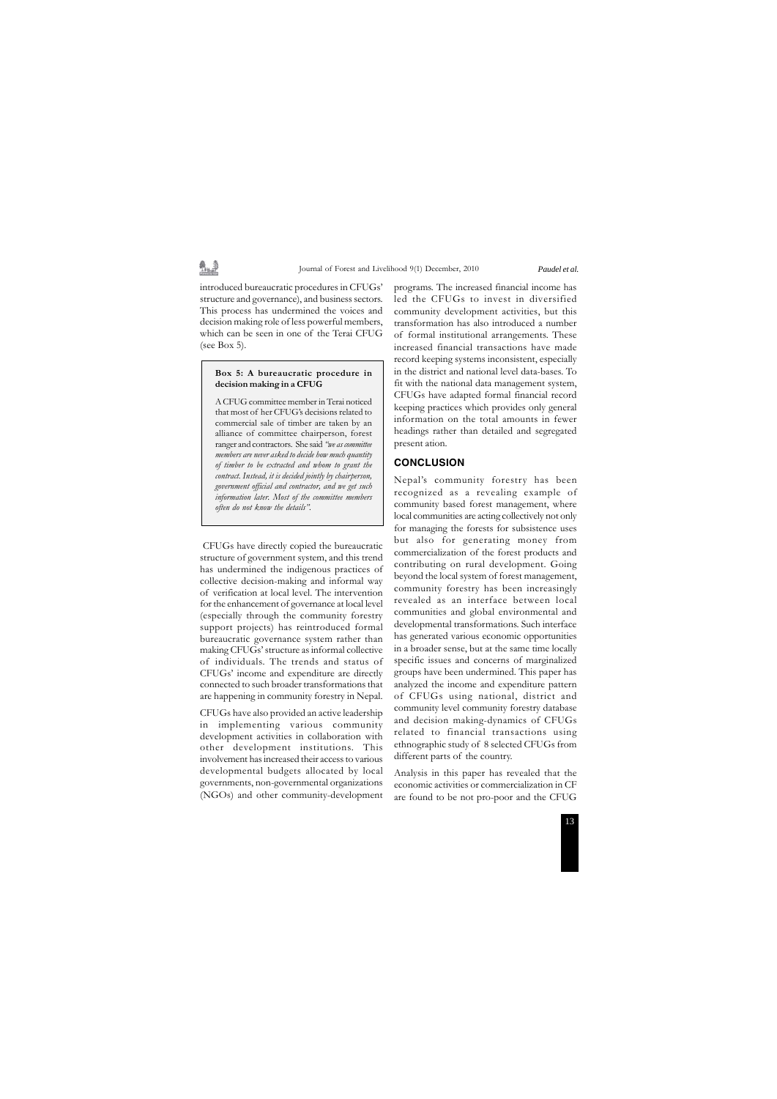introduced bureaucratic procedures in CFUGs' structure and governance), and business sectors. This process has undermined the voices and decision making role of less powerful members, which can be seen in one of the Terai CFUG (see Box 5).

 CFUGs have directly copied the bureaucratic structure of government system, and this trend has undermined the indigenous practices of collective decision-making and informal way of verification at local level. The intervention for the enhancement of governance at local level (especially through the community forestry support projects) has reintroduced formal bureaucratic governance system rather than making CFUGs' structure as informal collective of individuals. The trends and status of CFUGs' income and expenditure are directly connected to such broader transformations that are happening in community forestry in Nepal.

CFUGs have also provided an active leadership in implementing various community development activities in collaboration with other development institutions. This involvement has increased their access to various developmental budgets allocated by local governments, non-governmental organizations (NGOs) and other community-development programs. The increased financial income has led the CFUGs to invest in diversified community development activities, but this transformation has also introduced a number of formal institutional arrangements. These increased financial transactions have made record keeping systems inconsistent, especially in the district and national level data-bases. To fit with the national data management system, CFUGs have adapted formal financial record keeping practices which provides only general information on the total amounts in fewer headings rather than detailed and segregated present ation.

# **CONCLUSION**

Nepal's community forestry has been recognized as a revealing example of community based forest management, where local communities are acting collectively not only for managing the forests for subsistence uses but also for generating money from commercialization of the forest products and contributing on rural development. Going beyond the local system of forest management, community forestry has been increasingly revealed as an interface between local communities and global environmental and developmental transformations. Such interface has generated various economic opportunities in a broader sense, but at the same time locally specific issues and concerns of marginalized groups have been undermined. This paper has analyzed the income and expenditure pattern of CFUGs using national, district and community level community forestry database and decision making-dynamics of CFUGs related to financial transactions using ethnographic study of 8 selected CFUGs from different parts of the country.

Analysis in this paper has revealed that the economic activities or commercialization in CF are found to be not pro-poor and the CFUG

*Paudel et al.*

#### **Box 5: A bureaucratic procedure in decision making in a CFUG**

A CFUG committee member in Terai noticed that most of her CFUG's decisions related to commercial sale of timber are taken by an alliance of committee chairperson, forest ranger and contractors. She said *"we as committee members are never asked to decide how much quantity of timber to be extracted and whom to grant the contract. Instead, it is decided jointly by chairperson, government official and contractor, and we get such information later. Most of the committee members often do not know the details".*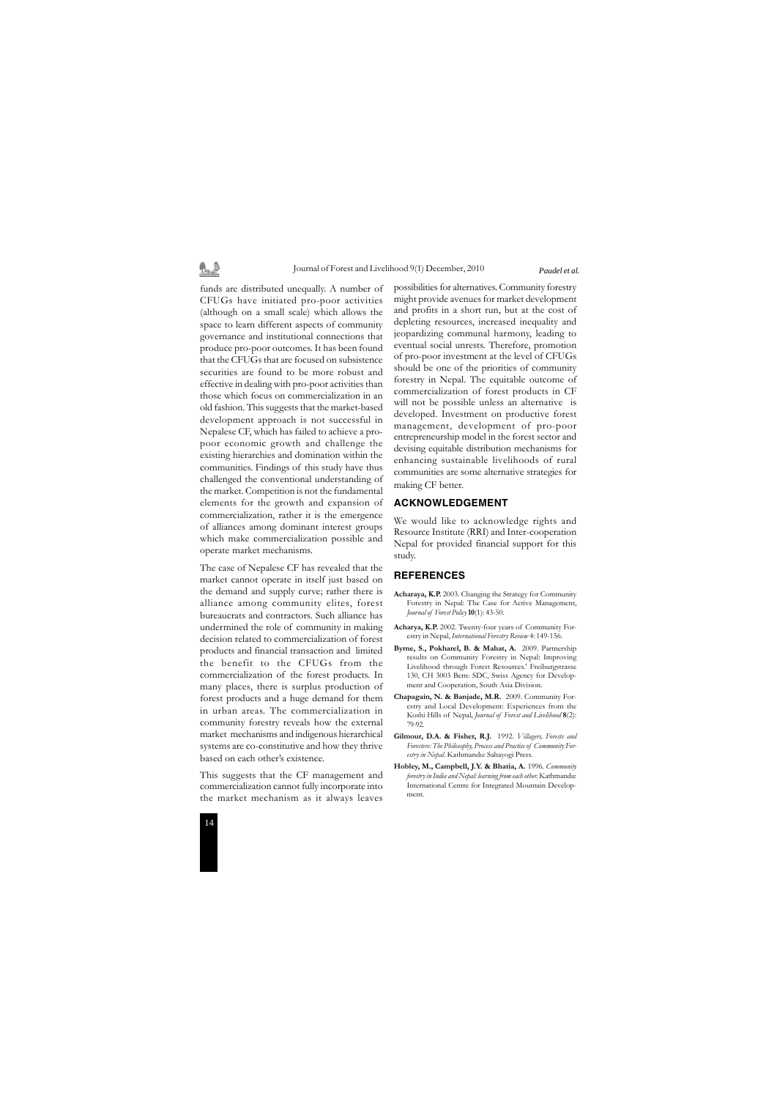

# 魯達

#### Journal of Forest and Livelihood 9(1) December, 2010

funds are distributed unequally. A number of CFUGs have initiated pro-poor activities (although on a small scale) which allows the space to learn different aspects of community governance and institutional connections that produce pro-poor outcomes. It has been found that the CFUGs that are focused on subsistence securities are found to be more robust and effective in dealing with pro-poor activities than those which focus on commercialization in an old fashion. This suggests that the market-based development approach is not successful in Nepalese CF, which has failed to achieve a propoor economic growth and challenge the existing hierarchies and domination within the communities. Findings of this study have thus challenged the conventional understanding of the market. Competition is not the fundamental elements for the growth and expansion of commercialization, rather it is the emergence of alliances among dominant interest groups which make commercialization possible and operate market mechanisms.

The case of Nepalese CF has revealed that the market cannot operate in itself just based on the demand and supply curve; rather there is alliance among community elites, forest bureaucrats and contractors. Such alliance has undermined the role of community in making decision related to commercialization of forest products and financial transaction and limited the benefit to the CFUGs from the commercialization of the forest products. In many places, there is surplus production of forest products and a huge demand for them in urban areas. The commercialization in community forestry reveals how the external market mechanisms and indigenous hierarchical systems are co-constitutive and how they thrive based on each other's existence.

This suggests that the CF management and commercialization cannot fully incorporate into the market mechanism as it always leaves possibilities for alternatives. Community forestry might provide avenues for market development and profits in a short run, but at the cost of depleting resources, increased inequality and jeopardizing communal harmony, leading to eventual social unrests. Therefore, promotion of pro-poor investment at the level of CFUGs should be one of the priorities of community forestry in Nepal. The equitable outcome of commercialization of forest products in CF will not be possible unless an alternative is developed. Investment on productive forest management, development of pro-poor entrepreneurship model in the forest sector and devising equitable distribution mechanisms for enhancing sustainable livelihoods of rural communities are some alternative strategies for making CF better.

#### **ACKNOWLEDGEMENT**

We would like to acknowledge rights and Resource Institute (RRI) and Inter-cooperation Nepal for provided financial support for this study.

#### **REFERENCES**

- **Acharaya, K.P.** 2003. Changing the Strategy for Community Forestry in Nepal: The Case for Active Management, *Journal of Forest Policy***10**(1): 43-50.
- **Acharya, K.P.** 2002. Twenty-four years of Community Forestry in Nepal, *International Forestry Review* 4: 149-156.
- **Byrne, S., Pokharel, B. & Mahat, A.** 2009. Partnership results on Community Forestry in Nepal: Improving Livelihood through Forest Resources.' Freiburgstrasse 130, CH 3003 Bern: SDC, Swiss Agency for Development and Cooperation, South Asia Division.
- **Chapagain, N. & Banjade, M.R.** 2009. Community Forestry and Local Development: Experiences from the Koshi Hills of Nepal, *Journal of Forest and Livelihood* **8**(2): 79-92.
- **Gilmour, D.A. & Fisher, R.J.** 1992. *Villagers, Forests and Foresters: The Philosophy, Process and Practice of Community Forestry in Nepal*. Kathmandu: Sahayogi Press.
- **Hobley, M., Campbell, J.Y. & Bhatia, A.** 1996. *Community forestry in India and Nepal: learning from each other.* Kathmandu: International Centre for Integrated Mountain Development.